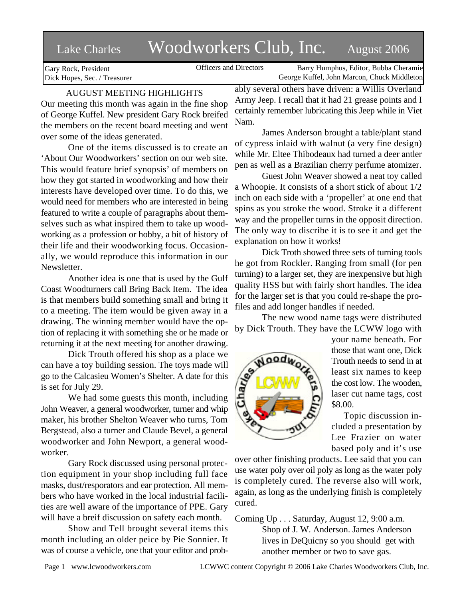# Lake Charles Woodworkers Club, Inc. August 2006

Gary Rock, President Dick Hopes, Sec. / Treasurer

Officers and Directors Barry Humphus, Editor, Bubba Cheramie George Kuffel, John Marcon, Chuck Middleton

# AUGUST MEETING HIGHLIGHTS

Our meeting this month was again in the fine shop of George Kuffel. New president Gary Rock breifed the members on the recent board meeting and went over some of the ideas generated.

One of the items discussed is to create an 'About Our Woodworkers' section on our web site. This would feature brief synopsis' of members on how they got started in woodworking and how their interests have developed over time. To do this, we would need for members who are interested in being featured to write a couple of paragraphs about themselves such as what inspired them to take up woodworking as a profession or hobby, a bit of history of their life and their woodworking focus. Occasionally, we would reproduce this information in our Newsletter.

Another idea is one that is used by the Gulf Coast Woodturners call Bring Back Item. The idea is that members build something small and bring it to a meeting. The item would be given away in a drawing. The winning member would have the option of replacing it with something she or he made or returning it at the next meeting for another drawing.

Dick Trouth offered his shop as a place we can have a toy building session. The toys made will go to the Calcasieu Women's Shelter. A date for this is set for July 29.

We had some guests this month, including John Weaver, a general woodworker, turner and whip maker, his brother Shelton Weaver who turns, Tom Bergstead, also a turner and Claude Bevel, a general woodworker and John Newport, a general woodworker.

Gary Rock discussed using personal protection equipment in your shop including full face masks, dust/resporators and ear protection. All members who have worked in the local industrial facilities are well aware of the importance of PPE. Gary will have a breif discussion on safety each month.

Show and Tell brought several items this month including an older peice by Pie Sonnier. It was of course a vehicle, one that your editor and prob-

ably several others have driven: a Willis Overland Army Jeep. I recall that it had 21 grease points and I certainly remember lubricating this Jeep while in Viet Nam.

James Anderson brought a table/plant stand of cypress inlaid with walnut (a very fine design) while Mr. Eltee Thibodeaux had turned a deer antler pen as well as a Brazilian cherry perfume atomizer.

Guest John Weaver showed a neat toy called a Whoopie. It consists of a short stick of about 1/2 inch on each side with a 'propeller' at one end that spins as you stroke the wood. Stroke it a different way and the propeller turns in the opposit direction. The only way to discribe it is to see it and get the explanation on how it works!

Dick Troth showed three sets of turning tools he got from Rockler. Ranging from small (for pen turning) to a larger set, they are inexpensive but high quality HSS but with fairly short handles. The idea for the larger set is that you could re-shape the profiles and add longer handles if needed.

The new wood name tags were distributed by Dick Trouth. They have the LCWW logo with



your name beneath. For those that want one, Dick Trouth needs to send in at least six names to keep the cost low. The wooden, laser cut name tags, cost \$8.00.

Topic discussion included a presentation by Lee Frazier on water based poly and it's use

over other finishing products. Lee said that you can use water poly over oil poly as long as the water poly is completely cured. The reverse also will work, again, as long as the underlying finish is completely cured.

Coming Up . . . Saturday, August 12, 9:00 a.m. Shop of J. W. Anderson. James Anderson lives in DeQuicny so you should get with another member or two to save gas.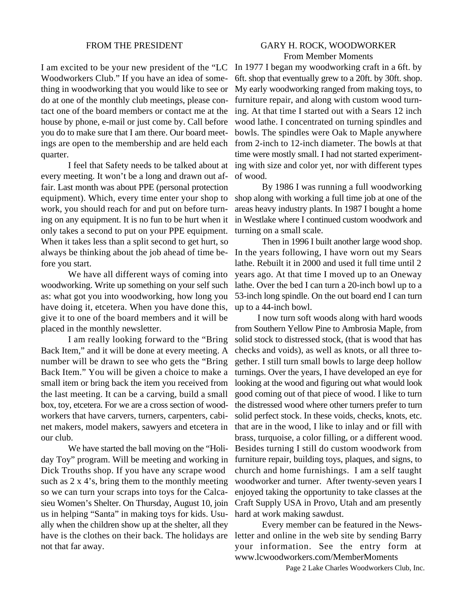### FROM THE PRESIDENT

# GARY H. ROCK, WOODWORKER From Member Moments

I am excited to be your new president of the "LC Woodworkers Club." If you have an idea of something in woodworking that you would like to see or do at one of the monthly club meetings, please contact one of the board members or contact me at the house by phone, e-mail or just come by. Call before you do to make sure that I am there. Our board meetings are open to the membership and are held each quarter.

every meeting. It won't be a long and drawn out affair. Last month was about PPE (personal protection equipment). Which, every time enter your shop to work, you should reach for and put on before turning on any equipment. It is no fun to be hurt when it only takes a second to put on your PPE equipment. When it takes less than a split second to get hurt, so always be thinking about the job ahead of time before you start.

We have all different ways of coming into woodworking. Write up something on your self such as: what got you into woodworking, how long you have doing it, etcetera. When you have done this, give it to one of the board members and it will be placed in the monthly newsletter.

I am really looking forward to the "Bring Back Item," and it will be done at every meeting. A number will be drawn to see who gets the "Bring Back Item." You will be given a choice to make a small item or bring back the item you received from the last meeting. It can be a carving, build a small box, toy, etcetera. For we are a cross section of woodworkers that have carvers, turners, carpenters, cabinet makers, model makers, sawyers and etcetera in our club.

We have started the ball moving on the "Holiday Toy" program. Will be meeting and working in Dick Trouths shop. If you have any scrape wood such as  $2 \times 4$ 's, bring them to the monthly meeting so we can turn your scraps into toys for the Calcasieu Women's Shelter. On Thursday, August 10, join us in helping "Santa" in making toys for kids. Usually when the children show up at the shelter, all they have is the clothes on their back. The holidays are not that far away.

I feel that Safety needs to be talked about at ing with size and color yet, nor with different types In 1977 I began my woodworking craft in a 6ft. by 6ft. shop that eventually grew to a 20ft. by 30ft. shop. My early woodworking ranged from making toys, to furniture repair, and along with custom wood turning. At that time I started out with a Sears 12 inch wood lathe. I concentrated on turning spindles and bowls. The spindles were Oak to Maple anywhere from 2-inch to 12-inch diameter. The bowls at that time were mostly small. I had not started experimentof wood.

> By 1986 I was running a full woodworking shop along with working a full time job at one of the areas heavy industry plants. In 1987 I bought a home in Westlake where I continued custom woodwork and turning on a small scale.

> Then in 1996 I built another large wood shop. In the years following, I have worn out my Sears lathe. Rebuilt it in 2000 and used it full time until 2 years ago. At that time I moved up to an Oneway lathe. Over the bed I can turn a 20-inch bowl up to a 53-inch long spindle. On the out board end I can turn up to a 44-inch bowl.

> I now turn soft woods along with hard woods from Southern Yellow Pine to Ambrosia Maple, from solid stock to distressed stock, (that is wood that has checks and voids), as well as knots, or all three together. I still turn small bowls to large deep hollow turnings. Over the years, I have developed an eye for looking at the wood and figuring out what would look good coming out of that piece of wood. I like to turn the distressed wood where other turners prefer to turn solid perfect stock. In these voids, checks, knots, etc. that are in the wood, I like to inlay and or fill with brass, turquoise, a color filling, or a different wood. Besides turning I still do custom woodwork from furniture repair, building toys, plaques, and signs, to church and home furnishings. I am a self taught woodworker and turner. After twenty-seven years I enjoyed taking the opportunity to take classes at the Craft Supply USA in Provo, Utah and am presently hard at work making sawdust.

> Every member can be featured in the Newsletter and online in the web site by sending Barry your information. See the entry form at www.lcwoodworkers.com/MemberMoments

> > Page 2 Lake Charles Woodworkers Club, Inc.